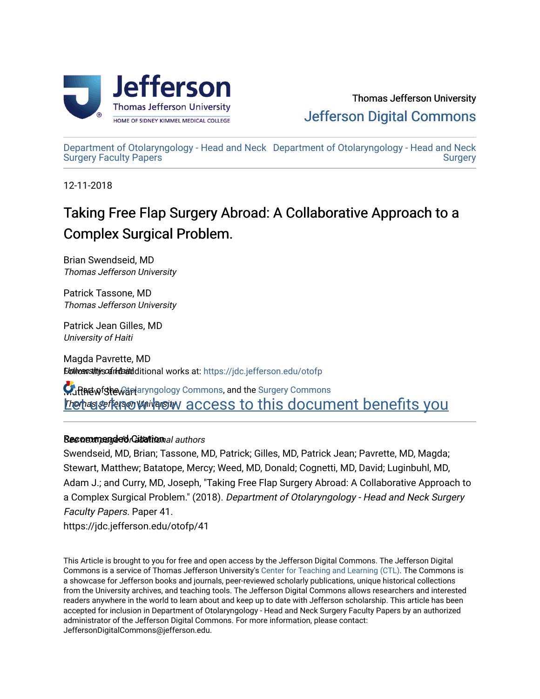

[Department of Otolaryngology - Head and Neck](https://jdc.jefferson.edu/otofp) [Department of Otolaryngology - Head and Neck](https://jdc.jefferson.edu/oto)  [Surgery Faculty Papers](https://jdc.jefferson.edu/otofp) **Surgery** 

12-11-2018

# Taking Free Flap Surgery Abroad: A Collaborative Approach to a Complex Surgical Problem.

Brian Swendseid, MD Thomas Jefferson University

Patrick Tassone, MD Thomas Jefferson University

Patrick Jean Gilles, MD University of Haiti

Magda Pavrette, MD **Ebilversitivs of inderid ditional works at: https://jdc.jefferson.edu/otofp** 

Matthew Stewart aryngology Commons, and the [Surgery Commons](http://network.bepress.com/hgg/discipline/706?utm_source=jdc.jefferson.edu%2Fotofp%2F41&utm_medium=PDF&utm_campaign=PDFCoverPages) **Let us of the orion University Access to this document benefits you** 

## **Recommended Gitalional authors**

Swendseid, MD, Brian; Tassone, MD, Patrick; Gilles, MD, Patrick Jean; Pavrette, MD, Magda; Stewart, Matthew; Batatope, Mercy; Weed, MD, Donald; Cognetti, MD, David; Luginbuhl, MD, Adam J.; and Curry, MD, Joseph, "Taking Free Flap Surgery Abroad: A Collaborative Approach to a Complex Surgical Problem." (2018). Department of Otolaryngology - Head and Neck Surgery Faculty Papers. Paper 41.

https://jdc.jefferson.edu/otofp/41

This Article is brought to you for free and open access by the Jefferson Digital Commons. The Jefferson Digital Commons is a service of Thomas Jefferson University's [Center for Teaching and Learning \(CTL\)](http://www.jefferson.edu/university/teaching-learning.html/). The Commons is a showcase for Jefferson books and journals, peer-reviewed scholarly publications, unique historical collections from the University archives, and teaching tools. The Jefferson Digital Commons allows researchers and interested readers anywhere in the world to learn about and keep up to date with Jefferson scholarship. This article has been accepted for inclusion in Department of Otolaryngology - Head and Neck Surgery Faculty Papers by an authorized administrator of the Jefferson Digital Commons. For more information, please contact: JeffersonDigitalCommons@jefferson.edu.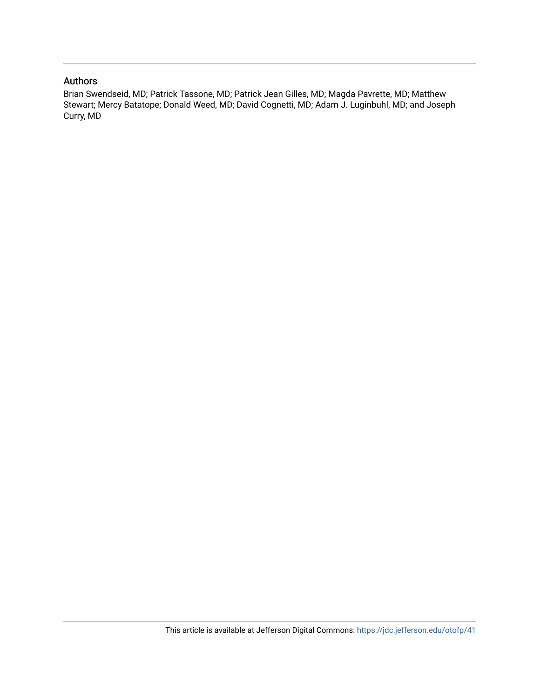## Authors

Brian Swendseid, MD; Patrick Tassone, MD; Patrick Jean Gilles, MD; Magda Pavrette, MD; Matthew Stewart; Mercy Batatope; Donald Weed, MD; David Cognetti, MD; Adam J. Luginbuhl, MD; and Joseph Curry, MD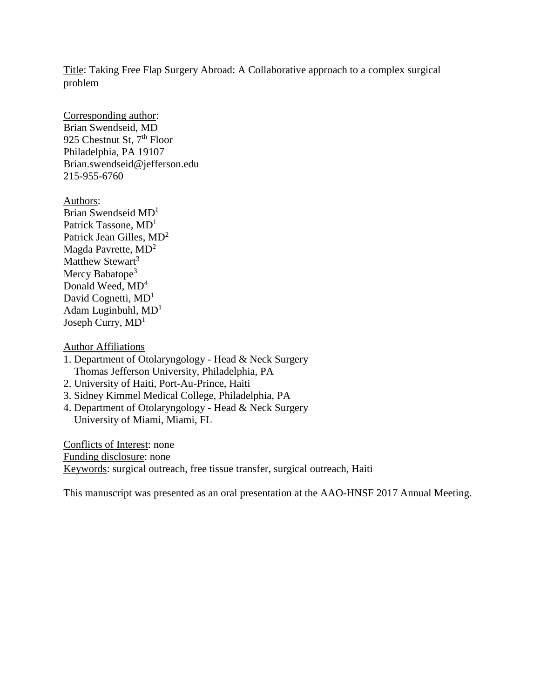Title: Taking Free Flap Surgery Abroad: A Collaborative approach to a complex surgical problem

Corresponding author: Brian Swendseid, MD 925 Chestnut St, 7<sup>th</sup> Floor Philadelphia, PA 19107 Brian.swendseid@jefferson.edu 215-955-6760

Authors: Brian Swendseid MD<sup>1</sup> Patrick Tassone,  $MD<sup>1</sup>$ Patrick Jean Gilles, MD<sup>2</sup> Magda Pavrette, MD<sup>2</sup> Matthew Stewart<sup>3</sup> Mercy Babatope<sup>3</sup> Donald Weed,  $MD<sup>4</sup>$ David Cognetti, MD<sup>1</sup> Adam Luginbuhl,  $MD<sup>1</sup>$ Joseph Curry,  $MD<sup>1</sup>$ 

Author Affiliations

- 1. Department of Otolaryngology Head & Neck Surgery Thomas Jefferson University, Philadelphia, PA
- 2. University of Haiti, Port-Au-Prince, Haiti
- 3. Sidney Kimmel Medical College, Philadelphia, PA
- 4. Department of Otolaryngology Head & Neck Surgery University of Miami, Miami, FL

Conflicts of Interest: none Funding disclosure: none Keywords: surgical outreach, free tissue transfer, surgical outreach, Haiti

This manuscript was presented as an oral presentation at the AAO-HNSF 2017 Annual Meeting.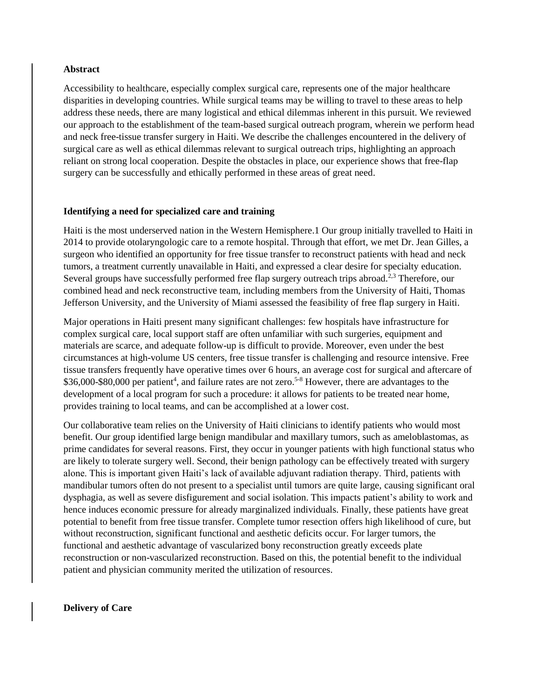## **Abstract**

Accessibility to healthcare, especially complex surgical care, represents one of the major healthcare disparities in developing countries. While surgical teams may be willing to travel to these areas to help address these needs, there are many logistical and ethical dilemmas inherent in this pursuit. We reviewed our approach to the establishment of the team-based surgical outreach program, wherein we perform head and neck free-tissue transfer surgery in Haiti. We describe the challenges encountered in the delivery of surgical care as well as ethical dilemmas relevant to surgical outreach trips, highlighting an approach reliant on strong local cooperation. Despite the obstacles in place, our experience shows that free-flap surgery can be successfully and ethically performed in these areas of great need.

## **Identifying a need for specialized care and training**

Haiti is the most underserved nation in the Western Hemisphere.1 Our group initially travelled to Haiti in 2014 to provide otolaryngologic care to a remote hospital. Through that effort, we met Dr. Jean Gilles, a surgeon who identified an opportunity for free tissue transfer to reconstruct patients with head and neck tumors, a treatment currently unavailable in Haiti, and expressed a clear desire for specialty education. Several groups have successfully performed free flap surgery outreach trips abroad.<sup>2,3</sup> Therefore, our combined head and neck reconstructive team, including members from the University of Haiti, Thomas Jefferson University, and the University of Miami assessed the feasibility of free flap surgery in Haiti.

Major operations in Haiti present many significant challenges: few hospitals have infrastructure for complex surgical care, local support staff are often unfamiliar with such surgeries, equipment and materials are scarce, and adequate follow-up is difficult to provide. Moreover, even under the best circumstances at high-volume US centers, free tissue transfer is challenging and resource intensive. Free tissue transfers frequently have operative times over 6 hours, an average cost for surgical and aftercare of \$36,000-\$80,000 per patient<sup>4</sup>, and failure rates are not zero.<sup>5-8</sup> However, there are advantages to the development of a local program for such a procedure: it allows for patients to be treated near home, provides training to local teams, and can be accomplished at a lower cost.

Our collaborative team relies on the University of Haiti clinicians to identify patients who would most benefit. Our group identified large benign mandibular and maxillary tumors, such as ameloblastomas, as prime candidates for several reasons. First, they occur in younger patients with high functional status who are likely to tolerate surgery well. Second, their benign pathology can be effectively treated with surgery alone. This is important given Haiti's lack of available adjuvant radiation therapy. Third, patients with mandibular tumors often do not present to a specialist until tumors are quite large, causing significant oral dysphagia, as well as severe disfigurement and social isolation. This impacts patient's ability to work and hence induces economic pressure for already marginalized individuals. Finally, these patients have great potential to benefit from free tissue transfer. Complete tumor resection offers high likelihood of cure, but without reconstruction, significant functional and aesthetic deficits occur. For larger tumors, the functional and aesthetic advantage of vascularized bony reconstruction greatly exceeds plate reconstruction or non-vascularized reconstruction. Based on this, the potential benefit to the individual patient and physician community merited the utilization of resources.

**Delivery of Care**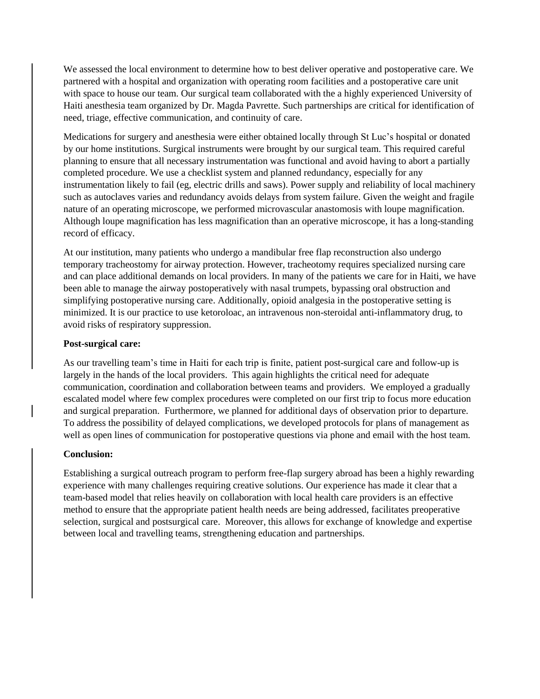We assessed the local environment to determine how to best deliver operative and postoperative care. We partnered with a hospital and organization with operating room facilities and a postoperative care unit with space to house our team. Our surgical team collaborated with the a highly experienced University of Haiti anesthesia team organized by Dr. Magda Pavrette. Such partnerships are critical for identification of need, triage, effective communication, and continuity of care.

Medications for surgery and anesthesia were either obtained locally through St Luc's hospital or donated by our home institutions. Surgical instruments were brought by our surgical team. This required careful planning to ensure that all necessary instrumentation was functional and avoid having to abort a partially completed procedure. We use a checklist system and planned redundancy, especially for any instrumentation likely to fail (eg, electric drills and saws). Power supply and reliability of local machinery such as autoclaves varies and redundancy avoids delays from system failure. Given the weight and fragile nature of an operating microscope, we performed microvascular anastomosis with loupe magnification. Although loupe magnification has less magnification than an operative microscope, it has a long-standing record of efficacy.

At our institution, many patients who undergo a mandibular free flap reconstruction also undergo temporary tracheostomy for airway protection. However, tracheotomy requires specialized nursing care and can place additional demands on local providers. In many of the patients we care for in Haiti, we have been able to manage the airway postoperatively with nasal trumpets, bypassing oral obstruction and simplifying postoperative nursing care. Additionally, opioid analgesia in the postoperative setting is minimized. It is our practice to use ketoroloac, an intravenous non-steroidal anti-inflammatory drug, to avoid risks of respiratory suppression.

#### **Post-surgical care:**

As our travelling team's time in Haiti for each trip is finite, patient post-surgical care and follow-up is largely in the hands of the local providers. This again highlights the critical need for adequate communication, coordination and collaboration between teams and providers. We employed a gradually escalated model where few complex procedures were completed on our first trip to focus more education and surgical preparation. Furthermore, we planned for additional days of observation prior to departure. To address the possibility of delayed complications, we developed protocols for plans of management as well as open lines of communication for postoperative questions via phone and email with the host team.

#### **Conclusion:**

Establishing a surgical outreach program to perform free-flap surgery abroad has been a highly rewarding experience with many challenges requiring creative solutions. Our experience has made it clear that a team-based model that relies heavily on collaboration with local health care providers is an effective method to ensure that the appropriate patient health needs are being addressed, facilitates preoperative selection, surgical and postsurgical care. Moreover, this allows for exchange of knowledge and expertise between local and travelling teams, strengthening education and partnerships.